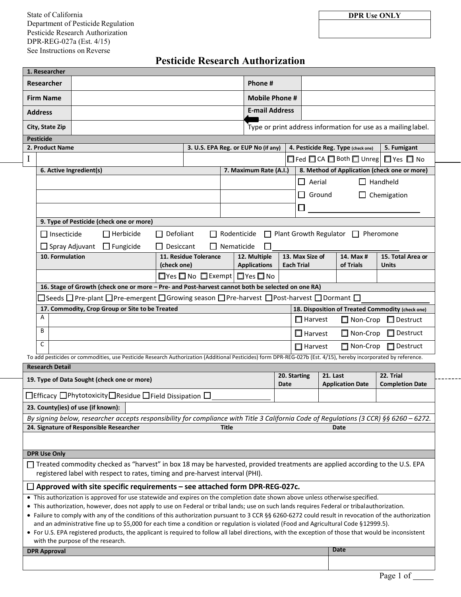See Instructions on Reverse State of California Department of Pesticide Regulation Pesticide Research Authorization DPR-REG-027a (Est. 4/15)

# **Pesticide Research Authorization**

| 1. Researcher                                                                                                                                                                                                                                                                               |                                                                                                                                      |                                                                                     |                                      |                        |                                                      |                                                         |                                  |                                                      |                         |                        |                                   |
|---------------------------------------------------------------------------------------------------------------------------------------------------------------------------------------------------------------------------------------------------------------------------------------------|--------------------------------------------------------------------------------------------------------------------------------------|-------------------------------------------------------------------------------------|--------------------------------------|------------------------|------------------------------------------------------|---------------------------------------------------------|----------------------------------|------------------------------------------------------|-------------------------|------------------------|-----------------------------------|
| <b>Researcher</b>                                                                                                                                                                                                                                                                           |                                                                                                                                      |                                                                                     |                                      |                        |                                                      | Phone #                                                 |                                  |                                                      |                         |                        |                                   |
| <b>Firm Name</b>                                                                                                                                                                                                                                                                            |                                                                                                                                      |                                                                                     |                                      |                        |                                                      |                                                         | <b>Mobile Phone #</b>            |                                                      |                         |                        |                                   |
| <b>Address</b>                                                                                                                                                                                                                                                                              |                                                                                                                                      | <b>E-mail Address</b>                                                               |                                      |                        |                                                      |                                                         |                                  |                                                      |                         |                        |                                   |
|                                                                                                                                                                                                                                                                                             | City, State Zip                                                                                                                      | Type or print address information for use as a mailing label.                       |                                      |                        |                                                      |                                                         |                                  |                                                      |                         |                        |                                   |
| <b>Pesticide</b>                                                                                                                                                                                                                                                                            |                                                                                                                                      |                                                                                     |                                      |                        |                                                      |                                                         |                                  |                                                      |                         |                        |                                   |
|                                                                                                                                                                                                                                                                                             | 2. Product Name<br>3. U.S. EPA Reg. or EUP No (if any)<br>4. Pesticide Reg. Type (check one)<br>5. Fumigant                          |                                                                                     |                                      |                        |                                                      |                                                         |                                  |                                                      |                         |                        |                                   |
| I                                                                                                                                                                                                                                                                                           |                                                                                                                                      | $\Box$ Fed $\Box$ CA $\Box$ Both $\Box$ Unreg $\Box$ Yes $\Box$ No                  |                                      |                        |                                                      |                                                         |                                  |                                                      |                         |                        |                                   |
|                                                                                                                                                                                                                                                                                             | 6. Active Ingredient(s)                                                                                                              |                                                                                     |                                      | 7. Maximum Rate (A.I.) |                                                      |                                                         |                                  | 8. Method of Application (check one or more)         |                         |                        |                                   |
|                                                                                                                                                                                                                                                                                             |                                                                                                                                      |                                                                                     |                                      |                        |                                                      |                                                         | $\Box$ Aerial<br>$\Box$ Handheld |                                                      |                         |                        |                                   |
|                                                                                                                                                                                                                                                                                             |                                                                                                                                      |                                                                                     |                                      |                        |                                                      |                                                         |                                  | $\Box$ Ground<br>$\Box$ Chemigation                  |                         |                        |                                   |
|                                                                                                                                                                                                                                                                                             |                                                                                                                                      |                                                                                     |                                      |                        |                                                      |                                                         |                                  | $\Box$                                               |                         |                        |                                   |
|                                                                                                                                                                                                                                                                                             | 9. Type of Pesticide (check one or more)                                                                                             |                                                                                     |                                      |                        |                                                      |                                                         |                                  |                                                      |                         |                        |                                   |
|                                                                                                                                                                                                                                                                                             | $\Box$ Herbicide<br>□ Plant Growth Regulator □ Pheromone<br>$\Box$ Insecticide<br>$\Box$ Defoliant<br>$\Box$ Rodenticide             |                                                                                     |                                      |                        |                                                      |                                                         |                                  |                                                      |                         |                        |                                   |
|                                                                                                                                                                                                                                                                                             | $\Box$ Spray Adjuvant $\Box$ Fungicide<br>$\Box$ Desiccant<br>$\Box$ Nematicide                                                      |                                                                                     |                                      |                        |                                                      |                                                         |                                  |                                                      |                         |                        |                                   |
|                                                                                                                                                                                                                                                                                             | 10. Formulation                                                                                                                      |                                                                                     | 11. Residue Tolerance<br>(check one) |                        |                                                      | 12. Multiple<br><b>Applications</b>                     |                                  | 13. Max Size of<br><b>Each Trial</b>                 |                         | 14. Max #<br>of Trials | 15. Total Area or<br><b>Units</b> |
|                                                                                                                                                                                                                                                                                             |                                                                                                                                      |                                                                                     |                                      |                        |                                                      | $\Box$ Yes $\Box$ No $\Box$ Exempt $\Box$ Yes $\Box$ No |                                  |                                                      |                         |                        |                                   |
|                                                                                                                                                                                                                                                                                             | 16. Stage of Growth (check one or more - Pre- and Post-harvest cannot both be selected on one RA)                                    |                                                                                     |                                      |                        |                                                      |                                                         |                                  |                                                      |                         |                        |                                   |
|                                                                                                                                                                                                                                                                                             | $\Box$ Seeds $\Box$ Pre-plant $\Box$ Pre-emergent $\Box$ Growing season $\Box$ Pre-harvest $\Box$ Post-harvest $\Box$ Dormant $\Box$ |                                                                                     |                                      |                        |                                                      |                                                         |                                  |                                                      |                         |                        |                                   |
|                                                                                                                                                                                                                                                                                             | 17. Commodity, Crop Group or Site to be Treated<br>18. Disposition of Treated Commodity (check one)                                  |                                                                                     |                                      |                        |                                                      |                                                         |                                  |                                                      |                         |                        |                                   |
|                                                                                                                                                                                                                                                                                             | A                                                                                                                                    |                                                                                     |                                      |                        |                                                      |                                                         |                                  | $\Box$ Harvest<br>$\Box$ Non-Crop<br>$\Box$ Destruct |                         |                        |                                   |
|                                                                                                                                                                                                                                                                                             | B                                                                                                                                    |                                                                                     |                                      |                        | $\Box$ Destruct<br>$\Box$ Non-Crop<br>$\Box$ Harvest |                                                         |                                  |                                                      |                         |                        |                                   |
|                                                                                                                                                                                                                                                                                             | C                                                                                                                                    |                                                                                     |                                      | $\Box$ Harvest         |                                                      |                                                         |                                  | □ Non-Crop<br>$\Box$ Destruct                        |                         |                        |                                   |
| To add pesticides or commodities, use Pesticide Research Authorization (Additional Pesticides) form DPR-REG-027b (Est. 4/15), hereby incorporated by reference.                                                                                                                             |                                                                                                                                      |                                                                                     |                                      |                        |                                                      |                                                         |                                  |                                                      |                         |                        |                                   |
|                                                                                                                                                                                                                                                                                             | <b>Research Detail</b>                                                                                                               |                                                                                     |                                      |                        |                                                      |                                                         |                                  | 20. Starting                                         | 21. Last                |                        | 22. Trial                         |
| 19. Type of Data Sought (check one or more)                                                                                                                                                                                                                                                 |                                                                                                                                      |                                                                                     |                                      |                        |                                                      |                                                         | Date                             |                                                      | <b>Application Date</b> |                        | <b>Completion Date</b>            |
|                                                                                                                                                                                                                                                                                             |                                                                                                                                      | $\Box$ Efficacy $\Box$ Phytotoxicity $\Box$ Residue $\Box$ Field Dissipation $\Box$ |                                      |                        |                                                      |                                                         |                                  |                                                      |                         |                        |                                   |
| 23. County(ies) of use (if known):                                                                                                                                                                                                                                                          |                                                                                                                                      |                                                                                     |                                      |                        |                                                      |                                                         |                                  |                                                      |                         |                        |                                   |
| By signing below, researcher accepts responsibility for compliance with Title 3 California Code of Regulations (3 CCR) §§ 6260 - 6272.                                                                                                                                                      |                                                                                                                                      |                                                                                     |                                      |                        |                                                      |                                                         |                                  |                                                      |                         |                        |                                   |
|                                                                                                                                                                                                                                                                                             |                                                                                                                                      | 24. Signature of Responsible Researcher                                             |                                      | Date                   |                                                      |                                                         |                                  |                                                      |                         |                        |                                   |
|                                                                                                                                                                                                                                                                                             |                                                                                                                                      |                                                                                     |                                      |                        |                                                      |                                                         |                                  |                                                      |                         |                        |                                   |
| <b>DPR Use Only</b>                                                                                                                                                                                                                                                                         |                                                                                                                                      |                                                                                     |                                      |                        |                                                      |                                                         |                                  |                                                      |                         |                        |                                   |
| □ Treated commodity checked as "harvest" in box 18 may be harvested, provided treatments are applied according to the U.S. EPA<br>registered label with respect to rates, timing and pre-harvest interval (PHI).                                                                            |                                                                                                                                      |                                                                                     |                                      |                        |                                                      |                                                         |                                  |                                                      |                         |                        |                                   |
| $\Box$ Approved with site specific requirements – see attached form DPR-REG-027c.                                                                                                                                                                                                           |                                                                                                                                      |                                                                                     |                                      |                        |                                                      |                                                         |                                  |                                                      |                         |                        |                                   |
| • This authorization is approved for use statewide and expires on the completion date shown above unless otherwise specified.                                                                                                                                                               |                                                                                                                                      |                                                                                     |                                      |                        |                                                      |                                                         |                                  |                                                      |                         |                        |                                   |
| • This authorization, however, does not apply to use on Federal or tribal lands; use on such lands requires Federal or tribalauthorization.                                                                                                                                                 |                                                                                                                                      |                                                                                     |                                      |                        |                                                      |                                                         |                                  |                                                      |                         |                        |                                   |
| • Failure to comply with any of the conditions of this authorization pursuant to 3 CCR §§ 6260-6272 could result in revocation of the authorization                                                                                                                                         |                                                                                                                                      |                                                                                     |                                      |                        |                                                      |                                                         |                                  |                                                      |                         |                        |                                   |
| and an administrative fine up to \$5,000 for each time a condition or regulation is violated (Food and Agricultural Code §12999.5).<br>• For U.S. EPA registered products, the applicant is required to follow all label directions, with the exception of those that would be inconsistent |                                                                                                                                      |                                                                                     |                                      |                        |                                                      |                                                         |                                  |                                                      |                         |                        |                                   |
| with the purpose of the research.                                                                                                                                                                                                                                                           |                                                                                                                                      |                                                                                     |                                      |                        |                                                      |                                                         |                                  |                                                      |                         |                        |                                   |
|                                                                                                                                                                                                                                                                                             | <b>DPR Approval</b>                                                                                                                  |                                                                                     |                                      |                        |                                                      |                                                         |                                  |                                                      |                         | Date                   |                                   |
|                                                                                                                                                                                                                                                                                             |                                                                                                                                      |                                                                                     |                                      |                        |                                                      |                                                         |                                  |                                                      |                         |                        |                                   |

-------